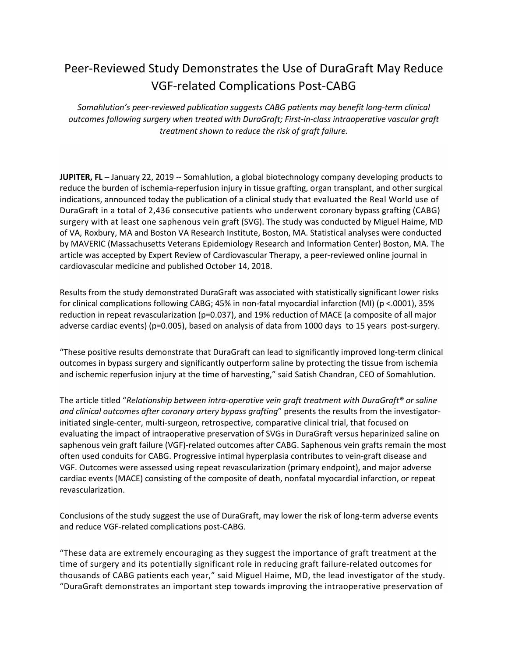## Peer-Reviewed Study Demonstrates the Use of DuraGraft May Reduce VGF-related Complications Post-CABG

*Somahlution's peer-reviewed publication suggests CABG patients may benefit long-term clinical outcomes following surgery when treated with DuraGraft; First-in-class intraoperative vascular graft treatment shown to reduce the risk of graft failure.*

**JUPITER, FL** – January 22, 2019 -- Somahlution, a global biotechnology company developing products to reduce the burden of ischemia-reperfusion injury in tissue grafting, organ transplant, and other surgical indications, announced today the publication of a clinical study that evaluated the Real World use of DuraGraft in a total of 2,436 consecutive patients who underwent coronary bypass grafting (CABG) surgery with at least one saphenous vein graft (SVG). The study was conducted by Miguel Haime, MD of VA, Roxbury, MA and Boston VA Research Institute, Boston, MA. Statistical analyses were conducted by MAVERIC (Massachusetts Veterans Epidemiology Research and Information Center) Boston, MA. The article was accepted by Expert Review of Cardiovascular Therapy, a peer-reviewed online journal in cardiovascular medicine and published October 14, 2018.

Results from the study demonstrated DuraGraft was associated with statistically significant lower risks for clinical complications following CABG; 45% in non-fatal myocardial infarction (MI) (p <.0001), 35% reduction in repeat revascularization (p=0.037), and 19% reduction of MACE (a composite of all major adverse cardiac events) (p=0.005), based on analysis of data from 1000 days to 15 years post-surgery.

"These positive results demonstrate that DuraGraft can lead to significantly improved long-term clinical outcomes in bypass surgery and significantly outperform saline by protecting the tissue from ischemia and ischemic reperfusion injury at the time of harvesting," said Satish Chandran, CEO of Somahlution.

The article titled "*Relationship between intra-operative vein graft treatment with DuraGraft® or saline and clinical outcomes after coronary artery bypass grafting*" presents the results from the investigatorinitiated single-center, multi-surgeon, retrospective, comparative clinical trial, that focused on evaluating the impact of intraoperative preservation of SVGs in DuraGraft versus heparinized saline on saphenous vein graft failure (VGF)-related outcomes after CABG. Saphenous vein grafts remain the most often used conduits for CABG. Progressive intimal hyperplasia contributes to vein-graft disease and VGF. Outcomes were assessed using repeat revascularization (primary endpoint), and major adverse cardiac events (MACE) consisting of the composite of death, nonfatal myocardial infarction, or repeat revascularization.

Conclusions of the study suggest the use of DuraGraft, may lower the risk of long-term adverse events and reduce VGF-related complications post-CABG.

"These data are extremely encouraging as they suggest the importance of graft treatment at the time of surgery and its potentially significant role in reducing graft failure-related outcomes for thousands of CABG patients each year," said Miguel Haime, MD, the lead investigator of the study. "DuraGraft demonstrates an important step towards improving the intraoperative preservation of